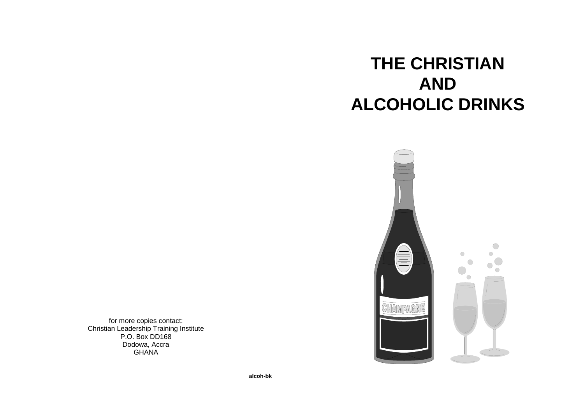# **THE CHRISTIANANDALCOHOLIC DRINKS**



for more copies contact: Christian Leadership Training Institute P.O. Box DD168 Dodowa, Accra**GHANA**